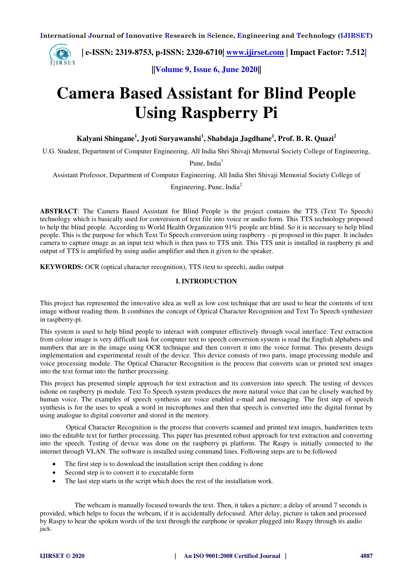**| e-ISSN: 2319-8753, p-ISSN: 2320-6710| [www.ijirset.com](http://www.ijirset.com/) | Impact Factor: 7.512|** IJIRSET

**||Volume 9, Issue 6, June 2020||** 

# **Camera Based Assistant for Blind People Using Raspberry Pi**

**Kalyani Shingane<sup>1</sup> , Jyoti Suryawanshi<sup>1</sup> , Shabdaja Jagdhane<sup>1</sup> , Prof. B. R. Quazi<sup>2</sup>**

U.G. Student, Department of Computer Engineering, All India Shri Shivaji Memorial Society College of Engineering,

Pune, India<sup>1</sup>

Assistant Professor, Department of Computer Engineering, All India Shri Shivaji Memorial Society College of

Engineering, Pune, India<sup>2</sup>

**ABSTRACT**: The Camera Based Assistant for Blind People is the project contains the TTS (Text To Speech) technology which is basically used for conversion of text file into voice or audio form. This TTS technology proposed to help the blind people. According to World Health Organization 91% people are blind. So it is necessary to help blind people. This is the purpose for which Text To Speech conversion using raspberry - pi proposed in this paper. It includes camera to capture image as an input text which is then pass to TTS unit. This TTS unit is installed in raspberry pi and output of TTS is amplified by using audio amplifier and then it given to the speaker.

**KEYWORDS:** OCR (optical character recognition), TTS (text to speech), audio output

## **I. INTRODUCTION**

This project has represented the innovative idea as well as low cost technique that are used to hear the contents of text image without reading them. It combines the concept of Optical Character Recognition and Text To Speech synthesizer in raspberry-pi.

This system is used to help blind people to interact with computer effectively through vocal interface. Text extraction from colour image is very difficult task for computer text to speech conversion system is read the English alphabets and numbers that are in the image using OCR technique and then convert it into the voice format. This presents design implementation and experimental result of the device. This device consists of two parts, image processing module and voice processing module. The Optical Character Recognition is the process that converts scan or printed text images into the text format into the further processing.

This project has presented simple approach for text extraction and its conversion into speech. The testing of devices isdone on raspberry pi module. Text To Speech system produces the more natural voice that can be closely watched by human voice. The examples of speech synthesis are voice enabled e-mail and messaging. The first step of speech synthesis is for the uses to speak a word in microphones and then that speech is converted into the digital format by using analogue to digital converter and stored in the memory.

 Optical Character Recognition is the process that converts scanned and printed text images, handwritten texts into the editable text for further processing. This paper has presented robust approach for text extraction and converting into the speech. Testing of device was done on the raspberry pi platform. The Raspy is initially connected to the internet through VLAN. The software is installed using command lines. Following steps are to be followed

- The first step is to download the installation script then codding is done
- Second step is to convert it to executable form
- The last step starts in the script which does the rest of the installation work.

 The webcam is manually focused towards the text. Then, it takes a picture; a delay of around 7 seconds is provided, which helps to focus the webcam, if it is accidentally defocused. After delay, picture is taken and processed by Raspy to hear the spoken words of the text through the earphone or speaker plugged into Raspy through its audio jack.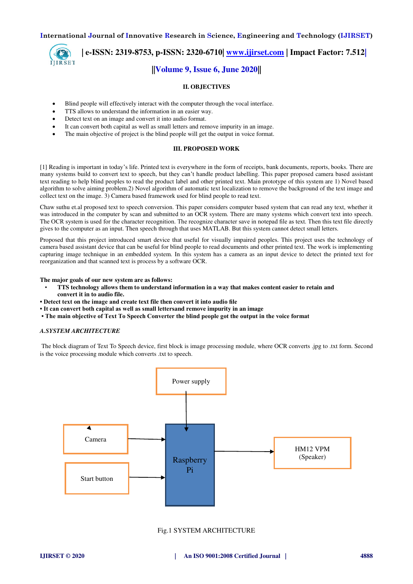IJIRSET

 **| e-ISSN: 2319-8753, p-ISSN: 2320-6710| [www.ijirset.com](http://www.ijirset.com/) | Impact Factor: 7.512| ||Volume 9, Issue 6, June 2020||** 

## **II. OBJECTIVES**

- Blind people will effectively interact with the computer through the vocal interface.
- TTS allows to understand the information in an easier way.
- Detect text on an image and convert it into audio format.
- It can convert both capital as well as small letters and remove impurity in an image.
- The main objective of project is the blind people will get the output in voice format.

## **III. PROPOSED WORK**

[1] Reading is important in today's life. Printed text is everywhere in the form of receipts, bank documents, reports, books. There are many systems build to convert text to speech, but they can't handle product labelling. This paper proposed camera based assistant text reading to help blind peoples to read the product label and other printed text. Main prototype of this system are 1) Novel based algorithm to solve aiming problem.2) Novel algorithm of automatic text localization to remove the background of the text image and collect text on the image. 3) Camera based framework used for blind people to read text.

Chaw suthu et.al proposed text to speech conversion. This paper considers computer based system that can read any text, whether it was introduced in the computer by scan and submitted to an OCR system. There are many systems which convert text into speech. The OCR system is used for the character recognition. The recognize character save in notepad file as text. Then this text file directly gives to the computer as an input. Then speech through that uses MATLAB. But this system cannot detect small letters.

Proposed that this project introduced smart device that useful for visually impaired peoples. This project uses the technology of camera based assistant device that can be useful for blind people to read documents and other printed text. The work is implementing capturing image technique in an embedded system. In this system has a camera as an input device to detect the printed text for reorganization and that scanned text is process by a software OCR.

**The major goals of our new system are as follows:** 

- **TTS technology allows them to understand information in a way that makes content easier to retain and** 
	- **convert it in to audio file.**
- **Detect text on the image and create text file then convert it into audio file**
- **It can convert both capital as well as small lettersand remove impurity in an image**
- **The main objective of Text To Speech Converter the blind people got the output in the voice format**

#### *A.SYSTEM ARCHITECTURE*

 The block diagram of Text To Speech device, first block is image processing module, where OCR converts .jpg to .txt form. Second is the voice processing module which converts .txt to speech.



### Fig.1 SYSTEM ARCHITECTURE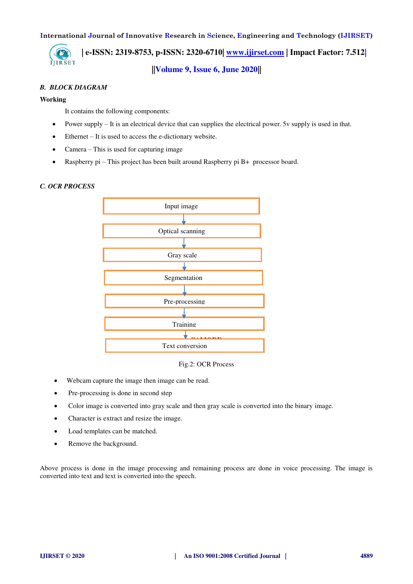

 **| e-ISSN: 2319-8753, p-ISSN: 2320-6710| [www.ijirset.com](http://www.ijirset.com/) | Impact Factor: 7.512| ||Volume 9, Issue 6, June 2020||** 

## *B. BLOCK DIAGRAM*

## **Working**

It contains the following components:

- Power supply It is an electrical device that can supplies the electrical power. 5v supply is used in that.
- Ethernet It is used to access the e-dictionary website.
- Camera This is used for capturing image
- Raspberry pi This project has been built around Raspberry pi B+ processor board.

## *C. OCR PROCESS*



Fig.2: OCR Process

- Webcam capture the image then image can be read.
- Pre-processing is done in second step
- Color image is converted into gray scale and then gray scale is converted into the binary image.
- Character is extract and resize the image.
- Load templates can be matched.
- Remove the background.

Above process is done in the image processing and remaining process are done in voice processing. The image is converted into text and text is converted into the speech.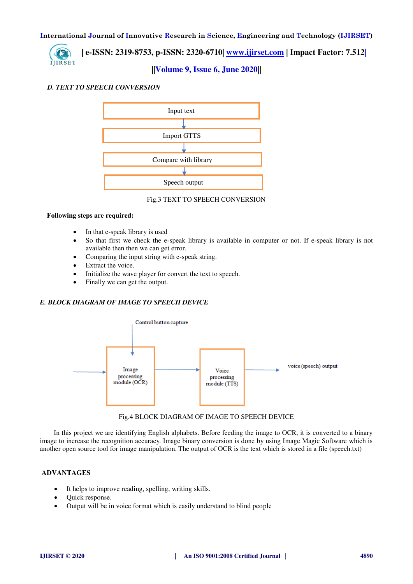

 **| e-ISSN: 2319-8753, p-ISSN: 2320-6710| [www.ijirset.com](http://www.ijirset.com/) | Impact Factor: 7.512|**

**||Volume 9, Issue 6, June 2020||** 

## *D. TEXT TO SPEECH CONVERSION*



#### Fig.3 TEXT TO SPEECH CONVERSION

## **Following steps are required:**

- In that e-speak library is used
- So that first we check the e-speak library is available in computer or not. If e-speak library is not available then then we can get error.
- Comparing the input string with e-speak string.
- Extract the voice.
- Initialize the wave player for convert the text to speech.
- Finally we can get the output.

## *E. BLOCK DIAGRAM OF IMAGE TO SPEECH DEVICE*





 In this project we are identifying English alphabets. Before feeding the image to OCR, it is converted to a binary image to increase the recognition accuracy. Image binary conversion is done by using Image Magic Software which is another open source tool for image manipulation. The output of OCR is the text which is stored in a file (speech.txt)

## **ADVANTAGES**

- It helps to improve reading, spelling, writing skills.
- Quick response.
- Output will be in voice format which is easily understand to blind people